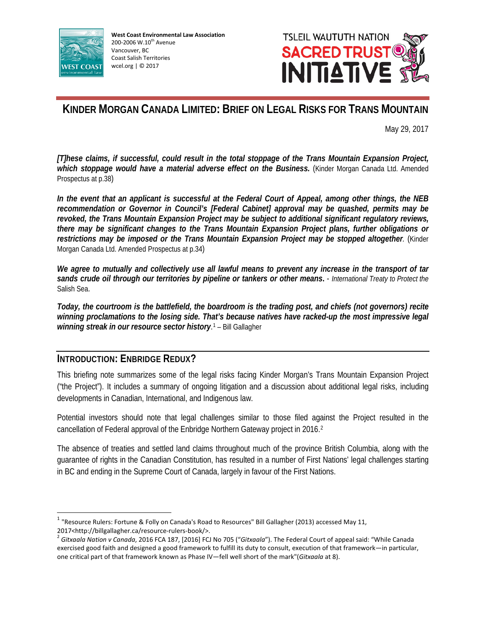



# **KINDER MORGAN CANADA LIMITED: BRIEF ON LEGAL RISKS FOR TRANS MOUNTAIN**

May 29, 2017

*[T]hese claims, if successful, could result in the total stoppage of the Trans Mountain Expansion Project, which stoppage would have a material adverse effect on the Business.* (Kinder Morgan Canada Ltd. Amended Prospectus at p.38)

*In the event that an applicant is successful at the Federal Court of Appeal, among other things, the NEB recommendation or Governor in Council's [Federal Cabinet] approval may be quashed, permits may be revoked, the Trans Mountain Expansion Project may be subject to additional significant regulatory reviews, there may be significant changes to the Trans Mountain Expansion Project plans, further obligations or restrictions may be imposed or the Trans Mountain Expansion Project may be stopped altogether.* (Kinder Morgan Canada Ltd. Amended Prospectus at p.34)

*We agree to mutually and collectively use all lawful means to prevent any increase in the transport of tar sands crude oil through our territories by pipeline or tankers or other means***.** - *International Treaty to Protect the*  Salish Sea.

*Today, the courtroom is the battlefield, the boardroom is the trading post, and chiefs (not governors) recite winning proclamations to the losing side. That's because natives have racked-up the most impressive legal*  winning streak in our resource sector history.<sup>[1](#page-0-0)</sup> - Bill Gallagher

## **INTRODUCTION: ENBRIDGE REDUX?**

This briefing note summarizes some of the legal risks facing Kinder Morgan's Trans Mountain Expansion Project ("the Project"). It includes a summary of ongoing litigation and a discussion about additional legal risks, including developments in Canadian, International, and Indigenous law.

Potential investors should note that legal challenges similar to those filed against the Project resulted in the cancellation of Federal approval of the Enbridge Northern Gateway project in 2016.[2](#page-0-1)

The absence of treaties and settled land claims throughout much of the province British Columbia, along with the guarantee of rights in the Canadian Constitution, has resulted in a number of First Nations' legal challenges starting in BC and ending in the Supreme Court of Canada, largely in favour of the First Nations.

<span id="page-0-0"></span><sup>&</sup>lt;sup>1</sup> "Resource Rulers: Fortune & Folly on Canada's Road to Resources" Bill Gallagher (2013) accessed May 11, 2017<http://billgallagher.ca/resource-rulers-book/>.<br><sup>2</sup> *Gitxaala Nation v Canada,* 2016 FCA 187, [2016] FCJ No 705 ("*Gitxaala*"). The Federal Court of appeal said: "While Canada

<span id="page-0-1"></span>exercised good faith and designed a good framework to fulfill its duty to consult, execution of that framework—in particular, one critical part of that framework known as Phase IV—fell well short of the mark"(*Gitxaala* at 8).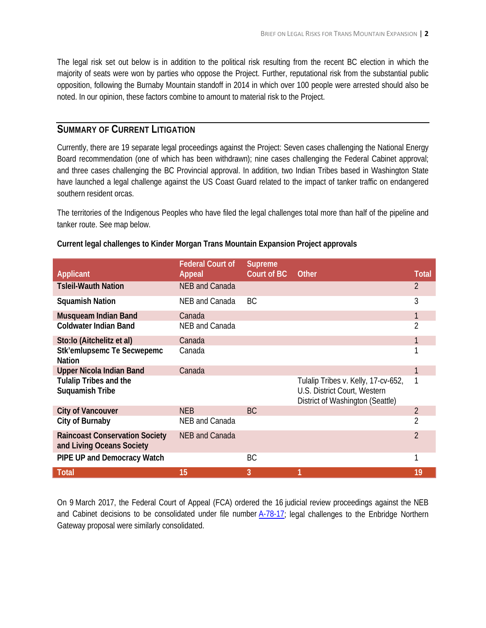The legal risk set out below is in addition to the political risk resulting from the recent BC election in which the majority of seats were won by parties who oppose the Project. Further, reputational risk from the substantial public opposition, following the Burnaby Mountain standoff in 2014 in which over 100 people were arrested should also be noted. In our opinion, these factors combine to amount to material risk to the Project.

# **SUMMARY OF CURRENT LITIGATION**

Currently, there are 19 separate legal proceedings against the Project: Seven cases challenging the National Energy Board recommendation (one of which has been withdrawn); nine cases challenging the Federal Cabinet approval; and three cases challenging the BC Provincial approval. In addition, two Indian Tribes based in Washington State have launched a legal challenge against the US Coast Guard related to the impact of tanker traffic on endangered southern resident orcas.

The territories of the Indigenous Peoples who have filed the legal challenges total more than half of the pipeline and tanker route. See map below.

|                                                                    | <b>Federal Court of</b> | <b>Supreme</b> |                                                                                                         |                |
|--------------------------------------------------------------------|-------------------------|----------------|---------------------------------------------------------------------------------------------------------|----------------|
| <b>Applicant</b>                                                   | <b>Appeal</b>           | Court of BC    | <b>Other</b>                                                                                            | <b>Total</b>   |
| <b>Tsleil-Wauth Nation</b>                                         | NEB and Canada          |                |                                                                                                         | $\overline{2}$ |
| <b>Squamish Nation</b>                                             | NEB and Canada          | <b>BC</b>      |                                                                                                         | 3              |
| <b>Musqueam Indian Band</b>                                        | Canada                  |                |                                                                                                         |                |
| <b>Coldwater Indian Band</b>                                       | <b>NEB and Canada</b>   |                |                                                                                                         | 2              |
| Sto:lo (Aitchelitz et al)                                          | Canada                  |                |                                                                                                         |                |
| <b>Stk'emlupsemc Te Secwepemc</b><br><b>Nation</b>                 | Canada                  |                |                                                                                                         |                |
| <b>Upper Nicola Indian Band</b>                                    | Canada                  |                |                                                                                                         |                |
| <b>Tulalip Tribes and the</b><br><b>Suquamish Tribe</b>            |                         |                | Tulalip Tribes v. Kelly, 17-cv-652,<br>U.S. District Court, Western<br>District of Washington (Seattle) |                |
| <b>City of Vancouver</b>                                           | NEB                     | BC.            |                                                                                                         | $\overline{2}$ |
| City of Burnaby                                                    | NEB and Canada          |                |                                                                                                         | 2              |
| <b>Raincoast Conservation Society</b><br>and Living Oceans Society | <b>NEB and Canada</b>   |                |                                                                                                         | $\overline{2}$ |
| PIPE UP and Democracy Watch                                        |                         | BC             |                                                                                                         |                |
| <b>Total</b>                                                       | 15                      | 3              |                                                                                                         | 19             |

### **Current legal challenges to Kinder Morgan Trans Mountain Expansion Project approvals**

On 9 March 2017, the Federal Court of Appeal (FCA) ordered the 16 judicial review proceedings against the NEB and Cabinet decisions to be consolidated under file number [A-78-17;](http://cas-cdc-www02.cas-satj.gc.ca/fca-caf/IndexingQueries/infp_RE_info_e.php?court_no=A-78-17) legal challenges to the Enbridge Northern Gateway proposal were similarly consolidated.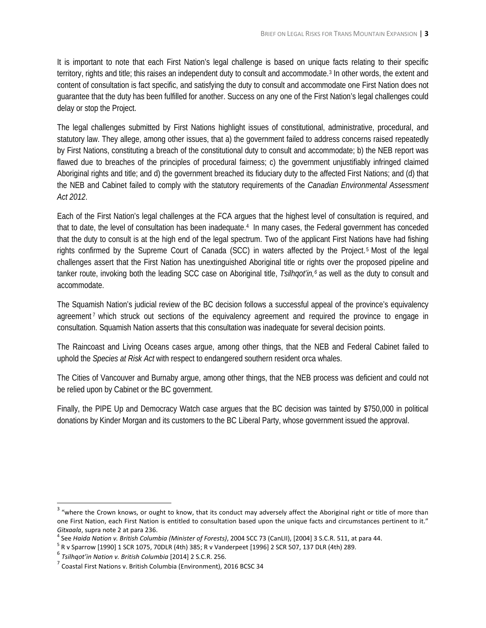It is important to note that each First Nation's legal challenge is based on unique facts relating to their specific territory, rights and title; this raises an independent duty to consult and accommodate.<sup>[3](#page-2-0)</sup> In other words, the extent and content of consultation is fact specific, and satisfying the duty to consult and accommodate one First Nation does not guarantee that the duty has been fulfilled for another. Success on any one of the First Nation's legal challenges could delay or stop the Project.

The legal challenges submitted by First Nations highlight issues of constitutional, administrative, procedural, and statutory law. They allege, among other issues, that a) the government failed to address concerns raised repeatedly by First Nations, constituting a breach of the constitutional duty to consult and accommodate; b) the NEB report was flawed due to breaches of the principles of procedural fairness; c) the government unjustifiably infringed claimed Aboriginal rights and title; and d) the government breached its fiduciary duty to the affected First Nations; and (d) that the NEB and Cabinet failed to comply with the statutory requirements of the *Canadian Environmental Assessment Act 2012*.

Each of the First Nation's legal challenges at the FCA argues that the highest level of consultation is required, and that to date, the level of consultation has been inadequate[.4](#page-2-1) In many cases, the Federal government has conceded that the duty to consult is at the high end of the legal spectrum. Two of the applicant First Nations have had fishing rights confirmed by the Supreme Court of Canada (SCC) in waters affected by the Project. [5](#page-2-2) Most of the legal challenges assert that the First Nation has unextinguished Aboriginal title or rights over the proposed pipeline and tanker route, invoking both the leading SCC case on Aboriginal title, *Tsilhqot'in,[6](#page-2-3)* as well as the duty to consult and accommodate.

The Squamish Nation's judicial review of the BC decision follows a successful appeal of the province's equivalency agreement<sup>[7](#page-2-4)</sup> which struck out sections of the equivalency agreement and required the province to engage in consultation. Squamish Nation asserts that this consultation was inadequate for several decision points.

The Raincoast and Living Oceans cases argue, among other things, that the NEB and Federal Cabinet failed to uphold the *Species at Risk Act* with respect to endangered southern resident orca whales.

The Cities of Vancouver and Burnaby argue, among other things, that the NEB process was deficient and could not be relied upon by Cabinet or the BC government.

Finally, the PIPE Up and Democracy Watch case argues that the BC decision was tainted by \$750,000 in political donations by Kinder Morgan and its customers to the BC Liberal Party, whose government issued the approval.

<span id="page-2-0"></span> $3$  "where the Crown knows, or ought to know, that its conduct may adversely affect the Aboriginal right or title of more than one First Nation, each First Nation is entitled to consultation based upon the unique facts and circumstances pertinent to it." Gitxaala, supra note 2 at para 236.<br><sup>4</sup> See Haida Nation v. British Columbia (Minister of Forests), 2004 SCC 73 (CanLII), [2004] 3 S.C.R. 511, at para 44.<br><sup>5</sup> R v Sparrow [1990] 1 SCR 1075, 70DLR (4th) 385; R v Vanderpeet

<span id="page-2-1"></span>

<span id="page-2-3"></span><span id="page-2-2"></span><sup>6</sup> *Tsilhqot'in Nation v. British Columbia* [2014] 2 S.C.R. 256.

<span id="page-2-4"></span> $3$  Coastal First Nations v. British Columbia (Environment), 2016 BCSC 34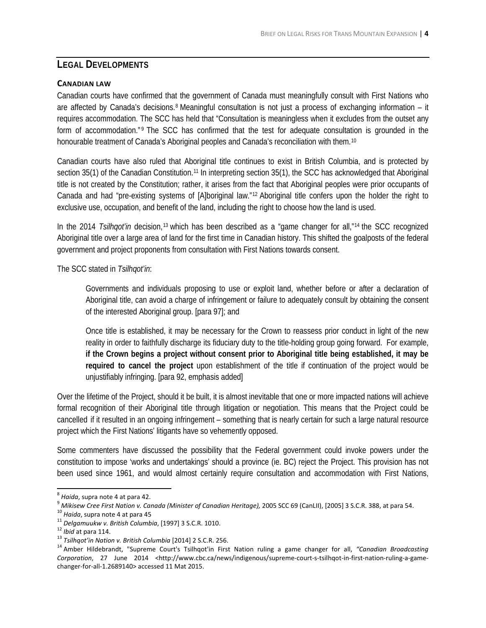# **LEGAL DEVELOPMENTS**

### **CANADIAN LAW**

Canadian courts have confirmed that the government of Canada must meaningfully consult with First Nations who are affected by Canada's decisions.<sup>[8](#page-3-0)</sup> Meaningful consultation is not just a process of exchanging information – it requires accommodation. The SCC has held that "Consultation is meaningless when it excludes from the outset any form of accommodation." <sup>[9](#page-3-1)</sup> The SCC has confirmed that the test for adequate consultation is grounded in the honourable treatment of Canada's Aboriginal peoples and Canada's reconciliation with them.<sup>[10](#page-3-2)</sup>

Canadian courts have also ruled that Aboriginal title continues to exist in British Columbia, and is protected by section 35(1) of the Canadian Constitution.<sup>[11](#page-3-3)</sup> In interpreting section 35(1), the SCC has acknowledged that Aboriginal title is not created by the Constitution; rather, it arises from the fact that Aboriginal peoples were prior occupants of Canada and had "pre-existing systems of [A]boriginal law."[12](#page-3-4) Aboriginal title confers upon the holder the right to exclusive use, occupation, and benefit of the land, including the right to choose how the land is used.

In the 20[14](#page-3-6) *Tsilhqot'in* decision,<sup>[13](#page-3-5)</sup> which has been described as a "game changer for all,"<sup>14</sup> the SCC recognized Aboriginal title over a large area of land for the first time in Canadian history. This shifted the goalposts of the federal government and project proponents from consultation with First Nations towards consent.

The SCC stated in *Tsilhqot'in*:

Governments and individuals proposing to use or exploit land, whether before or after a declaration of Aboriginal title, can avoid a charge of infringement or failure to adequately consult by obtaining the consent of the interested Aboriginal group. [para 97]; and

Once title is established, it may be necessary for the Crown to reassess prior conduct in light of the new reality in order to faithfully discharge its fiduciary duty to the title-holding group going forward. For example, **if the Crown begins a project without consent prior to Aboriginal title being established, it may be required to cancel the project** upon establishment of the title if continuation of the project would be unjustifiably infringing. [para 92, emphasis added]

Over the lifetime of the Project, should it be built, it is almost inevitable that one or more impacted nations will achieve formal recognition of their Aboriginal title through litigation or negotiation. This means that the Project could be cancelled if it resulted in an ongoing infringement – something that is nearly certain for such a large natural resource project which the First Nations' litigants have so vehemently opposed.

Some commenters have discussed the possibility that the Federal government could invoke powers under the constitution to impose 'works and undertakings' should a province (ie. BC) reject the Project. This provision has not been used since 1961, and would almost certainly require consultation and accommodation with First Nations,

<span id="page-3-1"></span>

<span id="page-3-2"></span>

<span id="page-3-3"></span>

<span id="page-3-4"></span>

<span id="page-3-6"></span><span id="page-3-5"></span>

<span id="page-3-0"></span><sup>&</sup>lt;sup>8</sup> Haida, supra note 4 at para 42.<br><sup>9</sup> Mikisew Cree First Nation v. Canada (Minister of Canadian Heritage), 2005 SCC 69 (CanLII), [2005] 3 S.C.R. 388, at para 54.<br><sup>10</sup> Haida, supra note 4 at para 45<br><sup>11</sup> Delgamuukw v. Br *Corporation*, 27 June 2014 <http://www.cbc.ca/news/indigenous/supreme-court-s-tsilhqot-in-first-nation-ruling-a-gamechanger-for-all-1.2689140> accessed 11 Mat 2015.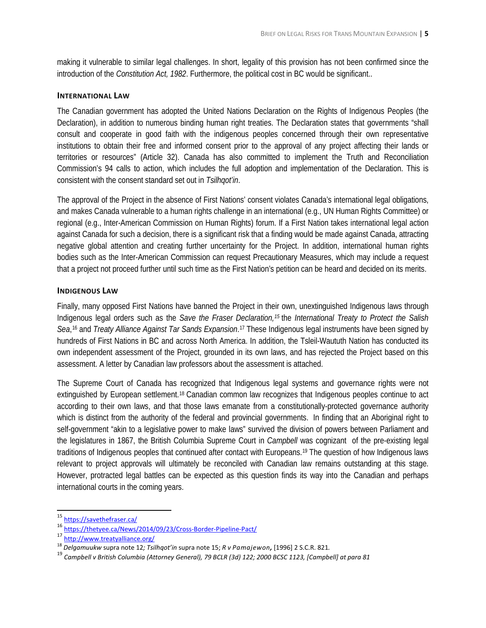making it vulnerable to similar legal challenges. In short, legality of this provision has not been confirmed since the introduction of the *Constitution Act, 1982*. Furthermore, the political cost in BC would be significant..

#### **INTERNATIONAL LAW**

The Canadian government has adopted the United Nations Declaration on the Rights of Indigenous Peoples (the Declaration), in addition to numerous binding human right treaties. The Declaration states that governments "shall consult and cooperate in good faith with the indigenous peoples concerned through their own representative institutions to obtain their free and informed consent prior to the approval of any project affecting their lands or territories or resources" (Article 32). Canada has also committed to implement the Truth and Reconciliation Commission's 94 calls to action, which includes the full adoption and implementation of the Declaration. This is consistent with the consent standard set out in *Tsilhqot'in*.

The approval of the Project in the absence of First Nations' consent violates Canada's international legal obligations, and makes Canada vulnerable to a human rights challenge in an international (e.g., UN Human Rights Committee) or regional (e.g., Inter-American Commission on Human Rights) forum. If a First Nation takes international legal action against Canada for such a decision, there is a significant risk that a finding would be made against Canada, attracting negative global attention and creating further uncertainty for the Project. In addition, international human rights bodies such as the Inter-American Commission can request Precautionary Measures, which may include a request that a project not proceed further until such time as the First Nation's petition can be heard and decided on its merits.

### **INDIGENOUS LAW**

Finally, many opposed First Nations have banned the Project in their own, unextinguished Indigenous laws through Indigenous legal orders such as the *Save the Fraser Declaration,[15](#page-4-0)* the *International Treaty to Protect the Salish*  Sea,<sup>[16](#page-4-1)</sup> and *Treaty Alliance Against Tar Sands Expansion*.<sup>[17](#page-4-2)</sup> These Indigenous legal instruments have been signed by hundreds of First Nations in BC and across North America. In addition, the Tsleil-Waututh Nation has conducted its own independent assessment of the Project, grounded in its own laws, and has rejected the Project based on this assessment. A letter by Canadian law professors about the assessment is attached.

The Supreme Court of Canada has recognized that Indigenous legal systems and governance rights were not extinguished by European settlement.[18](#page-4-3) Canadian common law recognizes that Indigenous peoples continue to act according to their own laws, and that those laws emanate from a constitutionally-protected governance authority which is distinct from the authority of the federal and provincial governments. In finding that an Aboriginal right to self-government "akin to a legislative power to make laws" survived the division of powers between Parliament and the legislatures in 1867, the British Columbia Supreme Court in *Campbell* was cognizant of the pre-existing legal traditions of Indigenous peoples that continued after contact with Europeans.[19](#page-4-4) The question of how Indigenous laws relevant to project approvals will ultimately be reconciled with Canadian law remains outstanding at this stage. However, protracted legal battles can be expected as this question finds its way into the Canadian and perhaps international courts in the coming years.

<span id="page-4-0"></span> <sup>15</sup> <https://savethefraser.ca/>

<span id="page-4-1"></span><sup>16</sup> <https://thetyee.ca/News/2014/09/23/Cross-Border-Pipeline-Pact/>

<span id="page-4-2"></span>

<sup>17</sup> <http://www.treatyalliance.org/><br><sup>18</sup> Delgamuukw supra note 12; Tsilhgot'in supra note 15; R v Pamajewon, [1996] 2 S.C.R. 821.

<span id="page-4-4"></span><span id="page-4-3"></span><sup>&</sup>lt;sup>19</sup> Campbell v British Columbia (Attorney General), 79 BCLR (3d) 122; 2000 BCSC 1123, [Campbell] at para 81